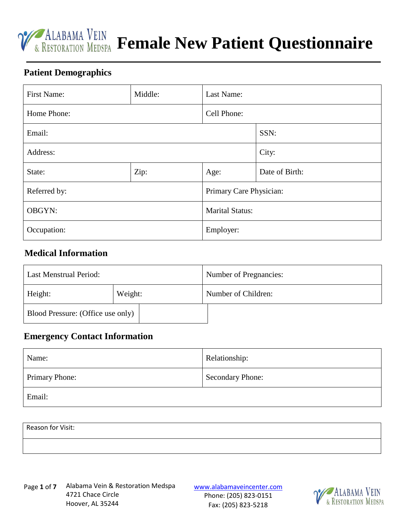

# *V* **ALABAMA VEIN Female New Patient Questionnaire**

#### **Patient Demographics**

| <b>First Name:</b> | Middle: | Last Name:              |                |
|--------------------|---------|-------------------------|----------------|
| Home Phone:        |         | Cell Phone:             |                |
| Email:             |         | SSN:                    |                |
| Address:           |         |                         | City:          |
| Zip:<br>State:     |         | Age:                    | Date of Birth: |
| Referred by:       |         | Primary Care Physician: |                |
| <b>OBGYN:</b>      |         | <b>Marital Status:</b>  |                |
| Occupation:        |         | Employer:               |                |

### **Medical Information**

| Last Menstrual Period:            |         | Number of Pregnancies: |  |
|-----------------------------------|---------|------------------------|--|
| Height:                           | Weight: | Number of Children:    |  |
| Blood Pressure: (Office use only) |         |                        |  |

#### **Emergency Contact Information**

| Name:          | Relationship:    |
|----------------|------------------|
| Primary Phone: | Secondary Phone: |
| Email:         |                  |

| Reason for Visit: |  |  |
|-------------------|--|--|
|                   |  |  |

Page 1 of 7 Alabama Vein & Restoration Medspa varian versionaveincenter.com 4721 Chace Circle Hoover, AL 35244

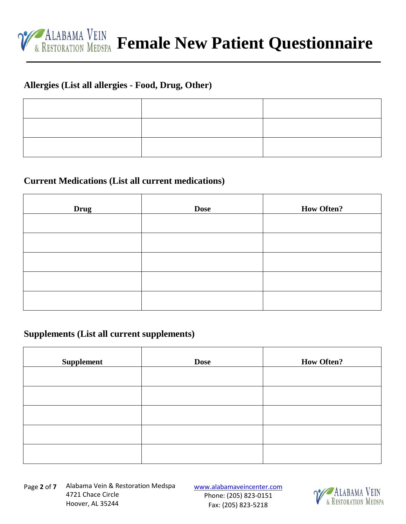

## **Allergies (List all allergies - Food, Drug, Other)**

#### **Current Medications (List all current medications)**

| <b>Drug</b> | <b>Dose</b> | <b>How Often?</b> |
|-------------|-------------|-------------------|
|             |             |                   |
|             |             |                   |
|             |             |                   |
|             |             |                   |
|             |             |                   |

#### **Supplements (List all current supplements)**

| <b>Supplement</b> | <b>Dose</b> | <b>How Often?</b> |
|-------------------|-------------|-------------------|
|                   |             |                   |
|                   |             |                   |
|                   |             |                   |
|                   |             |                   |
|                   |             |                   |

Page 2 of 7 Alabama Vein & Restoration Medspa varian versionaveincenter.com 4721 Chace Circle Hoover, AL 35244

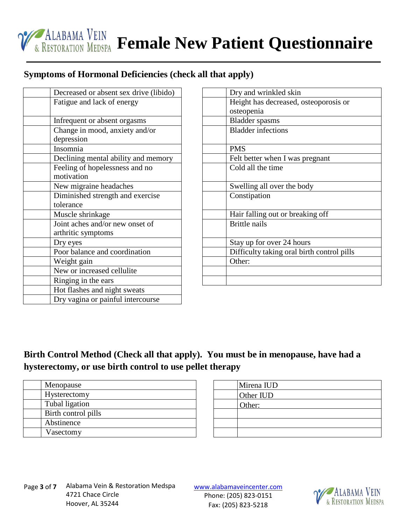

## **Symptoms of Hormonal Deficiencies (check all that apply)**

| Decreased or absent sex drive (libido) |
|----------------------------------------|
| Fatigue and lack of energy             |
|                                        |
| Infrequent or absent orgasms           |
| Change in mood, anxiety and/or         |
| depression                             |
| Insomnia                               |
| Declining mental ability and memory    |
| Feeling of hopelessness and no         |
| motivation                             |
| New migraine headaches                 |
| Diminished strength and exercise       |
| tolerance                              |
| Muscle shrinkage                       |
| Joint aches and/or new onset of        |
| arthritic symptoms                     |
| Dry eyes                               |
| Poor balance and coordination          |
| Weight gain                            |
| New or increased cellulite             |
| Ringing in the ears                    |
| Hot flashes and night sweats           |
| Dry vagina or painful intercourse      |

| Dry and wrinkled skin                      |
|--------------------------------------------|
| Height has decreased, osteoporosis or      |
| osteopenia                                 |
| <b>Bladder</b> spasms                      |
| <b>Bladder</b> infections                  |
|                                            |
| <b>PMS</b>                                 |
| Felt better when I was pregnant            |
| Cold all the time                          |
|                                            |
| Swelling all over the body                 |
| Constipation                               |
|                                            |
| Hair falling out or breaking off           |
| <b>Brittle nails</b>                       |
|                                            |
| Stay up for over 24 hours                  |
| Difficulty taking oral birth control pills |
| Other:                                     |
|                                            |
|                                            |
|                                            |

# **Birth Control Method (Check all that apply). You must be in menopause, have had a hysterectomy, or use birth control to use pellet therapy**

| Menopause           |
|---------------------|
| Hysterectomy        |
| Tubal ligation      |
| Birth control pills |
| Abstinence          |
| Vasectomy           |

| Mirena IUD |
|------------|
| Other IUD  |
| Other:     |
|            |
|            |
|            |

Page 3 of 7 Alabama Vein & Restoration Medspa varian versionaveincenter.com 4721 Chace Circle Hoover, AL 35244

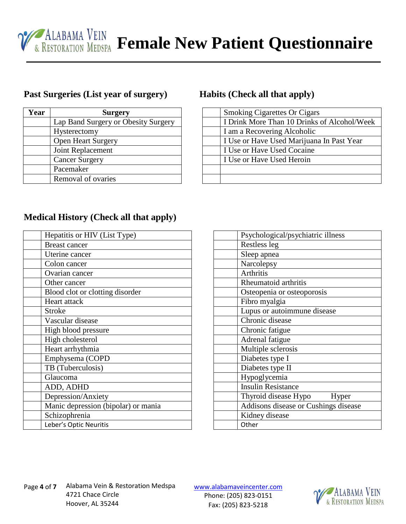# *FALABAMA VEIN* Female New Patient Questionnaire

## **Past Surgeries (List year of surgery) Habits (Check all that apply)**

| Year | <b>Surgery</b>                      |
|------|-------------------------------------|
|      | Lap Band Surgery or Obesity Surgery |
|      | Hysterectomy                        |
|      | <b>Open Heart Surgery</b>           |
|      | Joint Replacement                   |
|      | <b>Cancer Surgery</b>               |
|      | Pacemaker                           |
|      | Removal of ovaries                  |

| <b>Smoking Cigarettes Or Cigars</b>         |
|---------------------------------------------|
| I Drink More Than 10 Drinks of Alcohol/Week |
| I am a Recovering Alcoholic                 |
| I Use or Have Used Marijuana In Past Year   |
| I Use or Have Used Cocaine                  |
| I Use or Have Used Heroin                   |
|                                             |
|                                             |

## **Medical History (Check all that apply)**

| Hepatitis or HIV (List Type)        |
|-------------------------------------|
| <b>Breast cancer</b>                |
| Uterine cancer                      |
| Colon cancer                        |
| Ovarian cancer                      |
| Other cancer                        |
| Blood clot or clotting disorder     |
| Heart attack                        |
| <b>Stroke</b>                       |
| Vascular disease                    |
| High blood pressure                 |
| High cholesterol                    |
| Heart arrhythmia                    |
| Emphysema (COPD                     |
| TB (Tuberculosis)                   |
| Glaucoma                            |
| ADD, ADHD                           |
| Depression/Anxiety                  |
| Manic depression (bipolar) or mania |
| Schizophrenia                       |
| Leber's Optic Neuritis              |

| Psychological/psychiatric illness    |
|--------------------------------------|
| Restless leg                         |
| Sleep apnea                          |
| Narcolepsy                           |
| <b>Arthritis</b>                     |
| Rheumatoid arthritis                 |
| Osteopenia or osteoporosis           |
| Fibro myalgia                        |
| Lupus or autoimmune disease          |
| Chronic disease                      |
| Chronic fatigue                      |
| Adrenal fatigue                      |
| Multiple sclerosis                   |
| Diabetes type I                      |
| Diabetes type II                     |
| Hypoglycemia                         |
| <b>Insulin Resistance</b>            |
| Thyroid disease Hypo<br>Hyper        |
| Addisons disease or Cushings disease |
| Kidney disease                       |
| Other                                |

Page 4 of **7** Alabama Vein & Restoration Medspa variamaveincenter.com 4721 Chace Circle Hoover, AL 35244

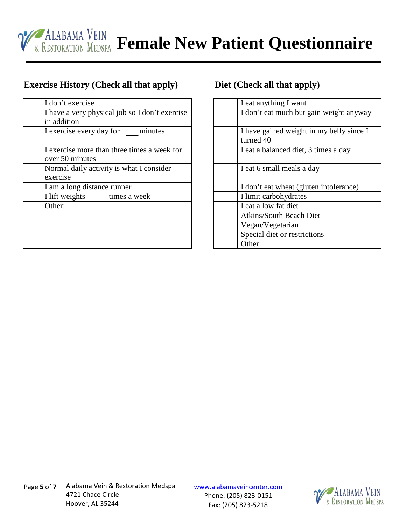

## **Exercise History (Check all that apply) Diet (Check all that apply)**

| I don't exercise                               |  |  |  |
|------------------------------------------------|--|--|--|
| I have a very physical job so I don't exercise |  |  |  |
| in addition                                    |  |  |  |
| I exercise every day for _ minutes             |  |  |  |
|                                                |  |  |  |
| I exercise more than three times a week for    |  |  |  |
| over 50 minutes                                |  |  |  |
| Normal daily activity is what I consider       |  |  |  |
| exercise                                       |  |  |  |
| I am a long distance runner                    |  |  |  |
| I lift weights times a week                    |  |  |  |
| Other:                                         |  |  |  |
|                                                |  |  |  |
|                                                |  |  |  |
|                                                |  |  |  |
|                                                |  |  |  |

| I eat anything I want                    |
|------------------------------------------|
| I don't eat much but gain weight anyway  |
|                                          |
| I have gained weight in my belly since I |
| turned 40                                |
| I eat a balanced diet, 3 times a day     |
|                                          |
| I eat 6 small meals a day                |
|                                          |
| I don't eat wheat (gluten intolerance)   |
| I limit carbohydrates                    |
| I eat a low fat diet                     |
| <b>Atkins/South Beach Diet</b>           |
| Vegan/Vegetarian                         |
| Special diet or restrictions             |
| Other:                                   |
|                                          |

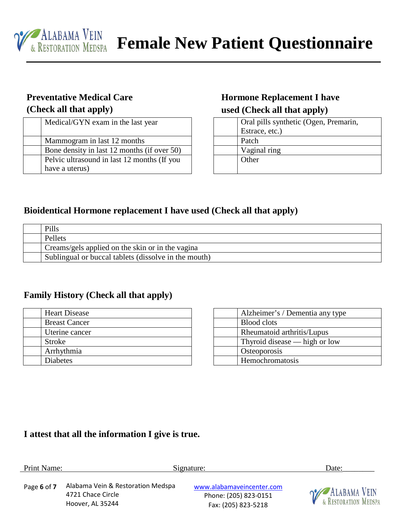

# **Preventative Medical Care (Check all that apply)**

| Medical/GYN exam in the last year           |
|---------------------------------------------|
| Mammogram in last 12 months                 |
| Bone density in last 12 months (if over 50) |
| Pelvic ultrasound in last 12 months (If you |
| have a uterus)                              |

# **Hormone Replacement I have used (Check all that apply)**

| Oral pills synthetic (Ogen, Premarin, |
|---------------------------------------|
| Estrace, etc.)                        |
| Patch                                 |
| Vaginal ring                          |
| Other                                 |
|                                       |

## **Bioidentical Hormone replacement I have used (Check all that apply)**

| Pills                                                |
|------------------------------------------------------|
| Pellets                                              |
| Creams/gels applied on the skin or in the vagina     |
| Sublingual or buccal tablets (dissolve in the mouth) |

#### **Family History (Check all that apply)**

| <b>Heart Disease</b> |
|----------------------|
| <b>Breast Cancer</b> |
| Uterine cancer       |
| <b>Stroke</b>        |
| Arrhythmia           |
| <b>Diabetes</b>      |

| Alzheimer's / Dementia any type |
|---------------------------------|
| <b>Blood</b> clots              |
| Rheumatoid arthritis/Lupus      |
| Thyroid disease — high or low   |
| Osteoporosis                    |
| Hemochromatosis                 |

# **I attest that all the information I give is true.**

| Print Name: |                                                                            | Signature:                                                                | Date:                                                      |
|-------------|----------------------------------------------------------------------------|---------------------------------------------------------------------------|------------------------------------------------------------|
| Page 6 of 7 | Alabama Vein & Restoration Medspa<br>4721 Chace Circle<br>Hoover, AL 35244 | www.alabamaveincenter.com<br>Phone: (205) 823-0151<br>Fax: (205) 823-5218 | <b>O</b> ALABAMA VEIN<br><b>EXPLOSIVE AND REPARTMENT A</b> |